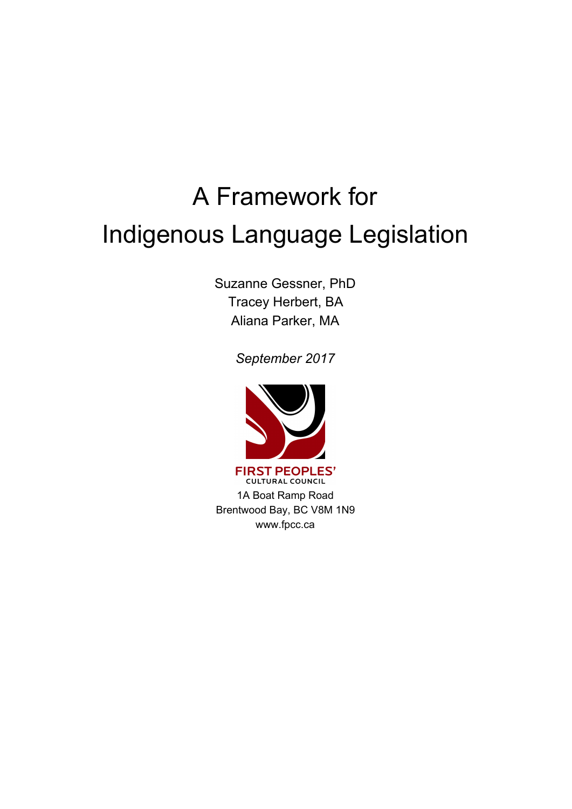# A Framework for Indigenous Language Legislation

Suzanne Gessner, PhD Tracey Herbert, BA Aliana Parker, MA

*September 2017*



1A Boat Ramp Road Brentwood Bay, BC V8M 1N9 www.fpcc.ca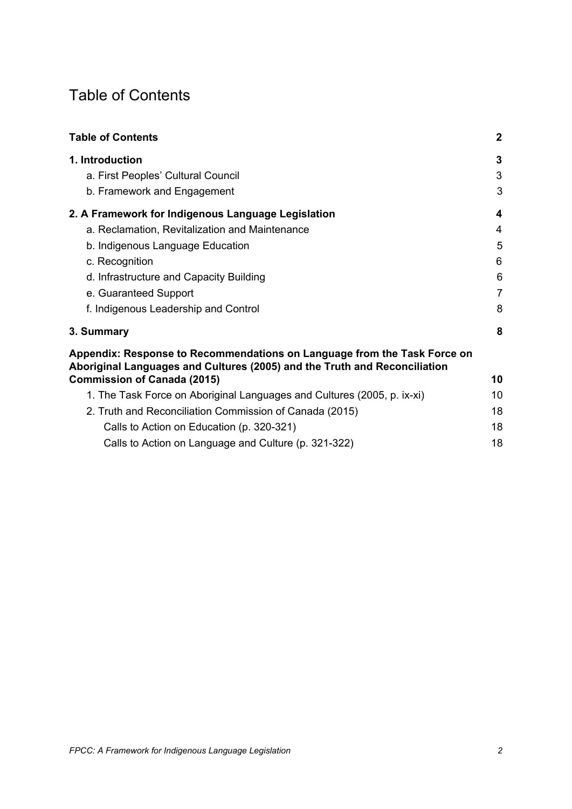# <span id="page-1-0"></span>Table of Contents

| <b>Table of Contents</b>                                                                                                                              | $\mathbf{2}$   |
|-------------------------------------------------------------------------------------------------------------------------------------------------------|----------------|
| 1. Introduction                                                                                                                                       | 3              |
| a. First Peoples' Cultural Council                                                                                                                    | 3              |
| b. Framework and Engagement                                                                                                                           | 3              |
| 2. A Framework for Indigenous Language Legislation                                                                                                    | 4              |
| a. Reclamation, Revitalization and Maintenance                                                                                                        | 4              |
| b. Indigenous Language Education                                                                                                                      | 5              |
| c. Recognition                                                                                                                                        | 6              |
| d. Infrastructure and Capacity Building                                                                                                               | 6              |
| e. Guaranteed Support                                                                                                                                 | $\overline{7}$ |
| f. Indigenous Leadership and Control                                                                                                                  | 8              |
| 3. Summary                                                                                                                                            | 8              |
| Appendix: Response to Recommendations on Language from the Task Force on<br>Aboriginal Languages and Cultures (2005) and the Truth and Reconciliation |                |
| <b>Commission of Canada (2015)</b>                                                                                                                    | 10             |
| 1. The Task Force on Aboriginal Languages and Cultures (2005, p. ix-xi)                                                                               | 10             |
| 2. Truth and Reconciliation Commission of Canada (2015)                                                                                               | 18             |
| Calls to Action on Education (p. 320-321)                                                                                                             | 18             |
| Calls to Action on Language and Culture (p. 321-322)                                                                                                  | 18             |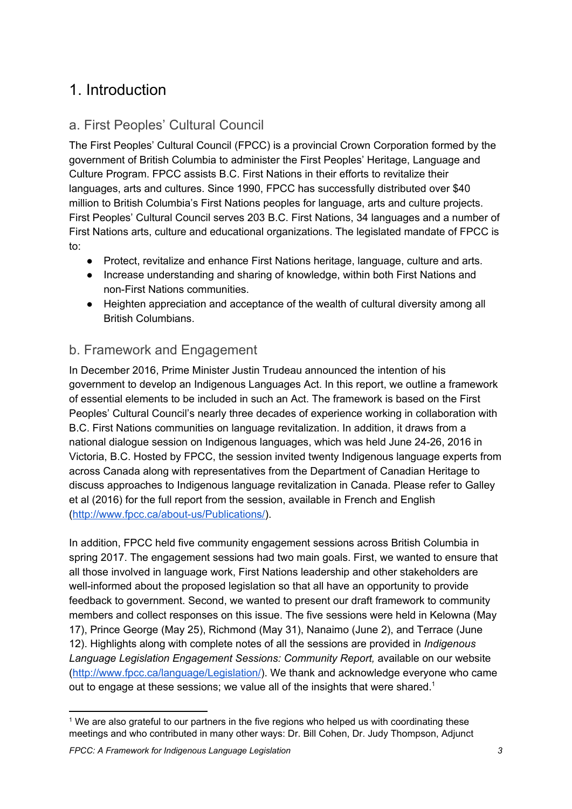# <span id="page-2-1"></span>1. Introduction

# <span id="page-2-2"></span>a. First Peoples' Cultural Council

The First Peoples' Cultural Council (FPCC) is a provincial Crown Corporation formed by the government of British Columbia to administer the First Peoples' Heritage, Language and Culture Program. FPCC assists B.C. First Nations in their efforts to revitalize their languages, arts and cultures. Since 1990, FPCC has successfully distributed over \$40 million to British Columbia's First Nations peoples for language, arts and culture projects. First Peoples' Cultural Council serves 203 B.C. First Nations, 34 languages and a number of First Nations arts, culture and educational organizations. The legislated mandate of FPCC is to:

- Protect, revitalize and enhance First Nations heritage, language, culture and arts.
- Increase understanding and sharing of knowledge, within both First Nations and non-First Nations communities.
- Heighten appreciation and acceptance of the wealth of cultural diversity among all British Columbians.

# <span id="page-2-0"></span>b. Framework and Engagement

In December 2016, Prime Minister Justin Trudeau announced the intention of his government to develop an Indigenous Languages Act. In this report, we outline a framework of essential elements to be included in such an Act. The framework is based on the First Peoples' Cultural Council's nearly three decades of experience working in collaboration with B.C. First Nations communities on language revitalization. In addition, it draws from a national dialogue session on Indigenous languages, which was held June 24-26, 2016 in Victoria, B.C. Hosted by FPCC, the session invited twenty Indigenous language experts from across Canada along with representatives from the Department of Canadian Heritage to discuss approaches to Indigenous language revitalization in Canada. Please refer to Galley et al (2016) for the full report from the session, available in French and English [\(http://www.fpcc.ca/about-us/Publications/\)](http://www.fpcc.ca/about-us/Publications/).

In addition, FPCC held five community engagement sessions across British Columbia in spring 2017. The engagement sessions had two main goals. First, we wanted to ensure that all those involved in language work, First Nations leadership and other stakeholders are well-informed about the proposed legislation so that all have an opportunity to provide feedback to government. Second, we wanted to present our draft framework to community members and collect responses on this issue. The five sessions were held in Kelowna (May 17), Prince George (May 25), Richmond (May 31), Nanaimo (June 2), and Terrace (June 12). Highlights along with complete notes of all the sessions are provided in *Indigenous Language Legislation Engagement Sessions: Community Report,* available on our website [\(http://www.fpcc.ca/language/Legislation/](http://www.fpcc.ca/language/Legislation/)). We thank and acknowledge everyone who came out to engage at these sessions; we value all of the insights that were shared.<sup>1</sup>

<sup>&</sup>lt;sup>1</sup> We are also grateful to our partners in the five regions who helped us with coordinating these meetings and who contributed in many other ways: Dr. Bill Cohen, Dr. Judy Thompson, Adjunct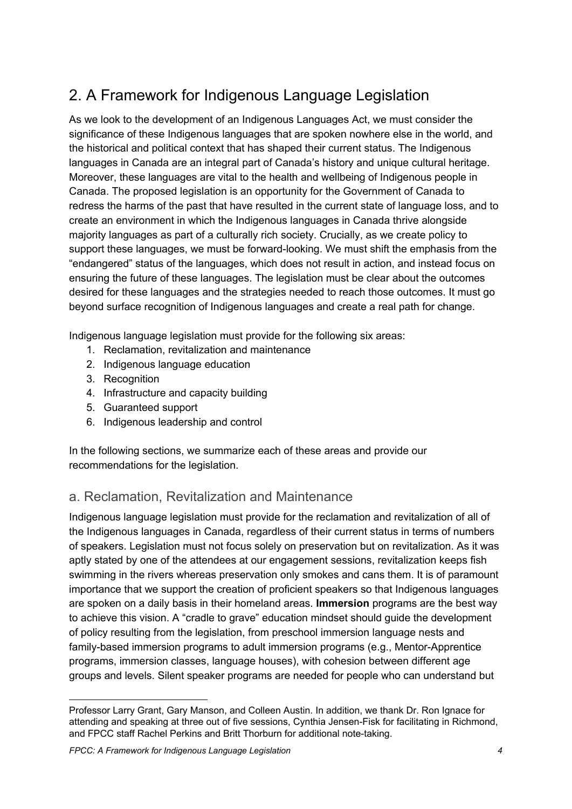# <span id="page-3-0"></span>2. A Framework for Indigenous Language Legislation

As we look to the development of an Indigenous Languages Act, we must consider the significance of these Indigenous languages that are spoken nowhere else in the world, and the historical and political context that has shaped their current status. The Indigenous languages in Canada are an integral part of Canada's history and unique cultural heritage. Moreover, these languages are vital to the health and wellbeing of Indigenous people in Canada. The proposed legislation is an opportunity for the Government of Canada to redress the harms of the past that have resulted in the current state of language loss, and to create an environment in which the Indigenous languages in Canada thrive alongside majority languages as part of a culturally rich society. Crucially, as we create policy to support these languages, we must be forward-looking. We must shift the emphasis from the "endangered" status of the languages, which does not result in action, and instead focus on ensuring the future of these languages. The legislation must be clear about the outcomes desired for these languages and the strategies needed to reach those outcomes. It must go beyond surface recognition of Indigenous languages and create a real path for change.

Indigenous language legislation must provide for the following six areas:

- 1. Reclamation, revitalization and maintenance
- 2. Indigenous language education
- 3. Recognition
- 4. Infrastructure and capacity building
- 5. Guaranteed support
- 6. Indigenous leadership and control

In the following sections, we summarize each of these areas and provide our recommendations for the legislation.

# <span id="page-3-1"></span>a. Reclamation, Revitalization and Maintenance

Indigenous language legislation must provide for the reclamation and revitalization of all of the Indigenous languages in Canada, regardless of their current status in terms of numbers of speakers. Legislation must not focus solely on preservation but on revitalization. As it was aptly stated by one of the attendees at our engagement sessions, revitalization keeps fish swimming in the rivers whereas preservation only smokes and cans them. It is of paramount importance that we support the creation of proficient speakers so that Indigenous languages are spoken on a daily basis in their homeland areas. **Immersion** programs are the best way to achieve this vision. A "cradle to grave" education mindset should guide the development of policy resulting from the legislation, from preschool immersion language nests and family-based immersion programs to adult immersion programs (e.g., Mentor-Apprentice programs, immersion classes, language houses), with cohesion between different age groups and levels. Silent speaker programs are needed for people who can understand but

Professor Larry Grant, Gary Manson, and Colleen Austin. In addition, we thank Dr. Ron Ignace for attending and speaking at three out of five sessions, Cynthia Jensen-Fisk for facilitating in Richmond, and FPCC staff Rachel Perkins and Britt Thorburn for additional note-taking.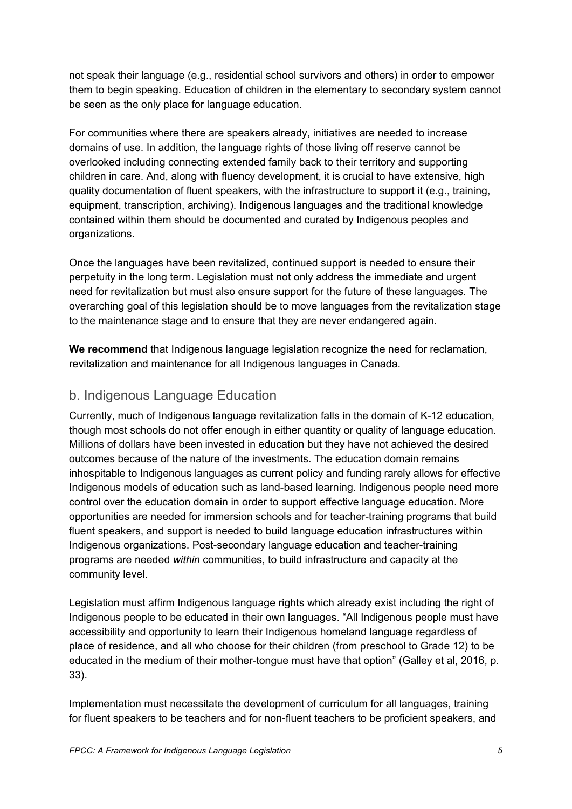not speak their language (e.g., residential school survivors and others) in order to empower them to begin speaking. Education of children in the elementary to secondary system cannot be seen as the only place for language education.

For communities where there are speakers already, initiatives are needed to increase domains of use. In addition, the language rights of those living off reserve cannot be overlooked including connecting extended family back to their territory and supporting children in care. And, along with fluency development, it is crucial to have extensive, high quality documentation of fluent speakers, with the infrastructure to support it (e.g., training, equipment, transcription, archiving). Indigenous languages and the traditional knowledge contained within them should be documented and curated by Indigenous peoples and organizations.

Once the languages have been revitalized, continued support is needed to ensure their perpetuity in the long term. Legislation must not only address the immediate and urgent need for revitalization but must also ensure support for the future of these languages. The overarching goal of this legislation should be to move languages from the revitalization stage to the maintenance stage and to ensure that they are never endangered again.

**We recommend** that Indigenous language legislation recognize the need for reclamation, revitalization and maintenance for all Indigenous languages in Canada.

## <span id="page-4-0"></span>b. Indigenous Language Education

Currently, much of Indigenous language revitalization falls in the domain of K-12 education, though most schools do not offer enough in either quantity or quality of language education. Millions of dollars have been invested in education but they have not achieved the desired outcomes because of the nature of the investments. The education domain remains inhospitable to Indigenous languages as current policy and funding rarely allows for effective Indigenous models of education such as land-based learning. Indigenous people need more control over the education domain in order to support effective language education. More opportunities are needed for immersion schools and for teacher-training programs that build fluent speakers, and support is needed to build language education infrastructures within Indigenous organizations. Post-secondary language education and teacher-training programs are needed *within* communities, to build infrastructure and capacity at the community level.

Legislation must affirm Indigenous language rights which already exist including the right of Indigenous people to be educated in their own languages. "All Indigenous people must have accessibility and opportunity to learn their Indigenous homeland language regardless of place of residence, and all who choose for their children (from preschool to Grade 12) to be educated in the medium of their mother-tongue must have that option" (Galley et al, 2016, p. 33).

Implementation must necessitate the development of curriculum for all languages, training for fluent speakers to be teachers and for non-fluent teachers to be proficient speakers, and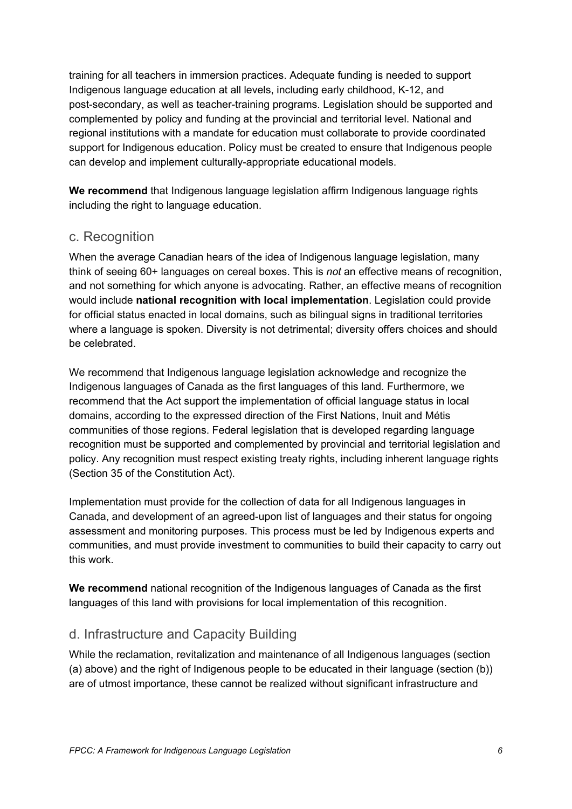training for all teachers in immersion practices. Adequate funding is needed to support Indigenous language education at all levels, including early childhood, K-12, and post-secondary, as well as teacher-training programs. Legislation should be supported and complemented by policy and funding at the provincial and territorial level. National and regional institutions with a mandate for education must collaborate to provide coordinated support for Indigenous education. Policy must be created to ensure that Indigenous people can develop and implement culturally-appropriate educational models.

**We recommend** that Indigenous language legislation affirm Indigenous language rights including the right to language education.

## <span id="page-5-0"></span>c. Recognition

When the average Canadian hears of the idea of Indigenous language legislation, many think of seeing 60+ languages on cereal boxes. This is *not* an effective means of recognition, and not something for which anyone is advocating. Rather, an effective means of recognition would include **national recognition with local implementation**. Legislation could provide for official status enacted in local domains, such as bilingual signs in traditional territories where a language is spoken. Diversity is not detrimental; diversity offers choices and should be celebrated.

We recommend that Indigenous language legislation acknowledge and recognize the Indigenous languages of Canada as the first languages of this land. Furthermore, we recommend that the Act support the implementation of official language status in local domains, according to the expressed direction of the First Nations, Inuit and Métis communities of those regions. Federal legislation that is developed regarding language recognition must be supported and complemented by provincial and territorial legislation and policy. Any recognition must respect existing treaty rights, including inherent language rights (Section 35 of the Constitution Act).

Implementation must provide for the collection of data for all Indigenous languages in Canada, and development of an agreed-upon list of languages and their status for ongoing assessment and monitoring purposes. This process must be led by Indigenous experts and communities, and must provide investment to communities to build their capacity to carry out this work.

**We recommend** national recognition of the Indigenous languages of Canada as the first languages of this land with provisions for local implementation of this recognition.

## <span id="page-5-1"></span>d. Infrastructure and Capacity Building

While the reclamation, revitalization and maintenance of all Indigenous languages (section (a) above) and the right of Indigenous people to be educated in their language (section (b)) are of utmost importance, these cannot be realized without significant infrastructure and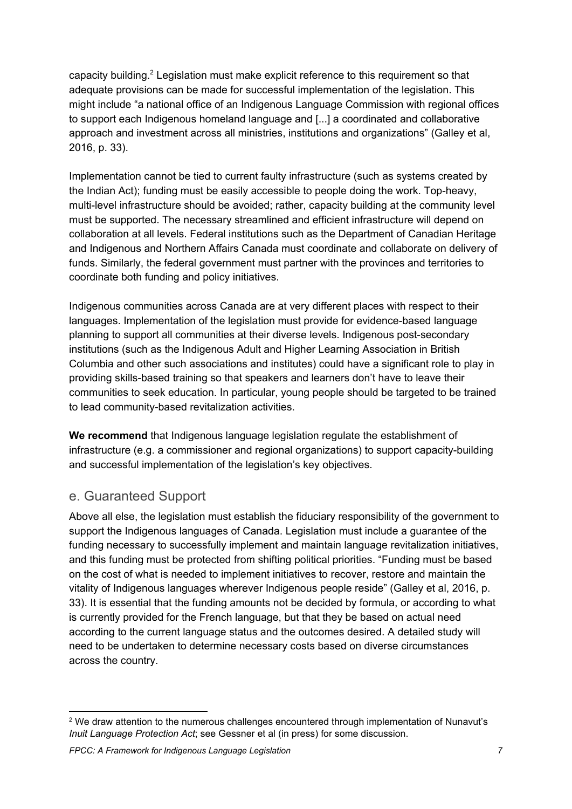capacity building.<sup>2</sup> Legislation must make explicit reference to this requirement so that adequate provisions can be made for successful implementation of the legislation. This might include "a national office of an Indigenous Language Commission with regional offices to support each Indigenous homeland language and [...] a coordinated and collaborative approach and investment across all ministries, institutions and organizations" (Galley et al, 2016, p. 33).

Implementation cannot be tied to current faulty infrastructure (such as systems created by the Indian Act); funding must be easily accessible to people doing the work. Top-heavy, multi-level infrastructure should be avoided; rather, capacity building at the community level must be supported. The necessary streamlined and efficient infrastructure will depend on collaboration at all levels. Federal institutions such as the Department of Canadian Heritage and Indigenous and Northern Affairs Canada must coordinate and collaborate on delivery of funds. Similarly, the federal government must partner with the provinces and territories to coordinate both funding and policy initiatives.

Indigenous communities across Canada are at very different places with respect to their languages. Implementation of the legislation must provide for evidence-based language planning to support all communities at their diverse levels. Indigenous post-secondary institutions (such as the Indigenous Adult and Higher Learning Association in British Columbia and other such associations and institutes) could have a significant role to play in providing skills-based training so that speakers and learners don't have to leave their communities to seek education. In particular, young people should be targeted to be trained to lead community-based revitalization activities.

**We recommend** that Indigenous language legislation regulate the establishment of infrastructure (e.g. a commissioner and regional organizations) to support capacity-building and successful implementation of the legislation's key objectives.

# <span id="page-6-0"></span>e. Guaranteed Support

Above all else, the legislation must establish the fiduciary responsibility of the government to support the Indigenous languages of Canada. Legislation must include a guarantee of the funding necessary to successfully implement and maintain language revitalization initiatives, and this funding must be protected from shifting political priorities. "Funding must be based on the cost of what is needed to implement initiatives to recover, restore and maintain the vitality of Indigenous languages wherever Indigenous people reside" (Galley et al, 2016, p. 33). It is essential that the funding amounts not be decided by formula, or according to what is currently provided for the French language, but that they be based on actual need according to the current language status and the outcomes desired. A detailed study will need to be undertaken to determine necessary costs based on diverse circumstances across the country.

<sup>&</sup>lt;sup>2</sup> We draw attention to the numerous challenges encountered through implementation of Nunavut's *Inuit Language Protection Act*; see Gessner et al (in press) for some discussion.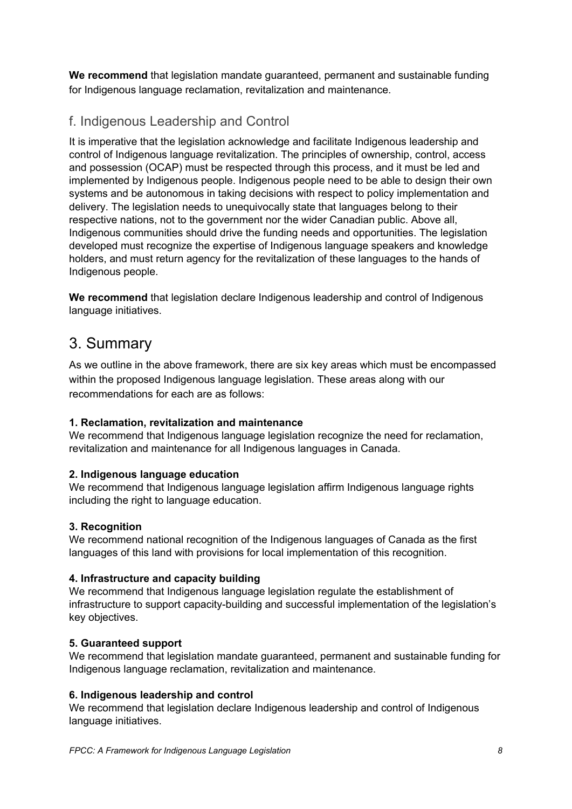**We recommend** that legislation mandate guaranteed, permanent and sustainable funding for Indigenous language reclamation, revitalization and maintenance.

# <span id="page-7-0"></span>f. Indigenous Leadership and Control

It is imperative that the legislation acknowledge and facilitate Indigenous leadership and control of Indigenous language revitalization. The principles of ownership, control, access and possession (OCAP) must be respected through this process, and it must be led and implemented by Indigenous people. Indigenous people need to be able to design their own systems and be autonomous in taking decisions with respect to policy implementation and delivery. The legislation needs to unequivocally state that languages belong to their respective nations, not to the government nor the wider Canadian public. Above all, Indigenous communities should drive the funding needs and opportunities. The legislation developed must recognize the expertise of Indigenous language speakers and knowledge holders, and must return agency for the revitalization of these languages to the hands of Indigenous people.

**We recommend** that legislation declare Indigenous leadership and control of Indigenous language initiatives.

# <span id="page-7-1"></span>3. Summary

As we outline in the above framework, there are six key areas which must be encompassed within the proposed Indigenous language legislation. These areas along with our recommendations for each are as follows:

#### **1. Reclamation, revitalization and maintenance**

We recommend that Indigenous language legislation recognize the need for reclamation, revitalization and maintenance for all Indigenous languages in Canada.

#### **2. Indigenous language education**

We recommend that Indigenous language legislation affirm Indigenous language rights including the right to language education.

#### **3. Recognition**

We recommend national recognition of the Indigenous languages of Canada as the first languages of this land with provisions for local implementation of this recognition.

#### **4. Infrastructure and capacity building**

We recommend that Indigenous language legislation regulate the establishment of infrastructure to support capacity-building and successful implementation of the legislation's key objectives.

#### **5. Guaranteed support**

We recommend that legislation mandate guaranteed, permanent and sustainable funding for Indigenous language reclamation, revitalization and maintenance.

#### **6. Indigenous leadership and control**

We recommend that legislation declare Indigenous leadership and control of Indigenous language initiatives.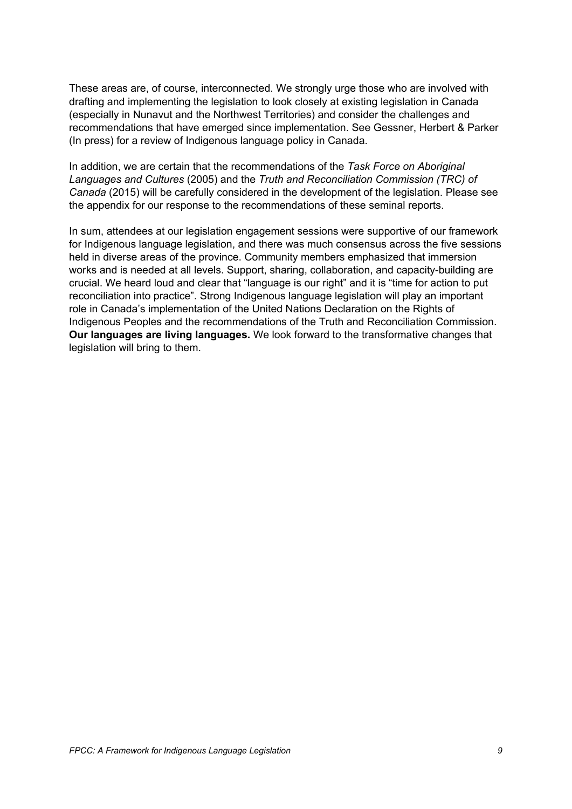These areas are, of course, interconnected. We strongly urge those who are involved with drafting and implementing the legislation to look closely at existing legislation in Canada (especially in Nunavut and the Northwest Territories) and consider the challenges and recommendations that have emerged since implementation. See Gessner, Herbert & Parker (In press) for a review of Indigenous language policy in Canada.

In addition, we are certain that the recommendations of the *Task Force on Aboriginal Languages and Cultures* (2005) and the *Truth and Reconciliation Commission (TRC) of Canada* (2015) will be carefully considered in the development of the legislation. Please see the appendix for our response to the recommendations of these seminal reports.

In sum, attendees at our legislation engagement sessions were supportive of our framework for Indigenous language legislation, and there was much consensus across the five sessions held in diverse areas of the province. Community members emphasized that immersion works and is needed at all levels. Support, sharing, collaboration, and capacity-building are crucial. We heard loud and clear that "language is our right" and it is "time for action to put reconciliation into practice". Strong Indigenous language legislation will play an important role in Canada's implementation of the United Nations Declaration on the Rights of Indigenous Peoples and the recommendations of the Truth and Reconciliation Commission. **Our languages are living languages.** We look forward to the transformative changes that legislation will bring to them.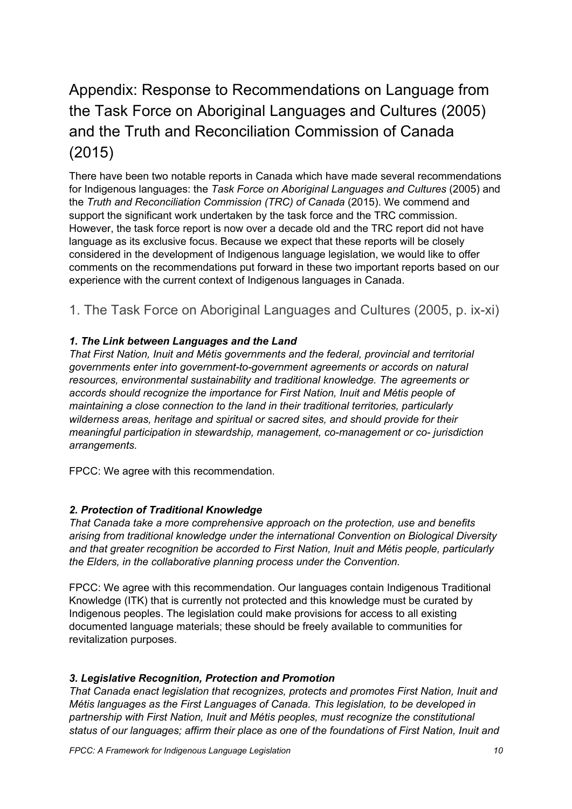# <span id="page-9-1"></span>Appendix: Response to Recommendations on Language from the Task Force on Aboriginal Languages and Cultures (2005) and the Truth and Reconciliation Commission of Canada (2015)

There have been two notable reports in Canada which have made several recommendations for Indigenous languages: the *Task Force on Aboriginal Languages and Cultures* (2005) and the *Truth and Reconciliation Commission (TRC) of Canada* (2015). We commend and support the significant work undertaken by the task force and the TRC commission. However, the task force report is now over a decade old and the TRC report did not have language as its exclusive focus. Because we expect that these reports will be closely considered in the development of Indigenous language legislation, we would like to offer comments on the recommendations put forward in these two important reports based on our experience with the current context of Indigenous languages in Canada.

# <span id="page-9-0"></span>1. The Task Force on Aboriginal Languages and Cultures (2005, p. ix-xi)

#### *1. The Link between Languages and the Land*

*That First Nation, Inuit and Métis governments and the federal, provincial and territorial governments enter into government-to-government agreements or accords on natural resources, environmental sustainability and traditional knowledge. The agreements or accords should recognize the importance for First Nation, Inuit and Métis people of maintaining a close connection to the land in their traditional territories, particularly wilderness areas, heritage and spiritual or sacred sites, and should provide for their meaningful participation in stewardship, management, co-management or co- jurisdiction arrangements.*

FPCC: We agree with this recommendation.

#### *2. Protection of Traditional Knowledge*

*That Canada take a more comprehensive approach on the protection, use and benefits arising from traditional knowledge under the international Convention on Biological Diversity and that greater recognition be accorded to First Nation, Inuit and Métis people, particularly the Elders, in the collaborative planning process under the Convention.*

FPCC: We agree with this recommendation. Our languages contain Indigenous Traditional Knowledge (ITK) that is currently not protected and this knowledge must be curated by Indigenous peoples. The legislation could make provisions for access to all existing documented language materials; these should be freely available to communities for revitalization purposes.

#### *3. Legislative Recognition, Protection and Promotion*

*That Canada enact legislation that recognizes, protects and promotes First Nation, Inuit and Métis languages as the First Languages of Canada. This legislation, to be developed in partnership with First Nation, Inuit and Métis peoples, must recognize the constitutional status of our languages; affirm their place as one of the foundations of First Nation, Inuit and*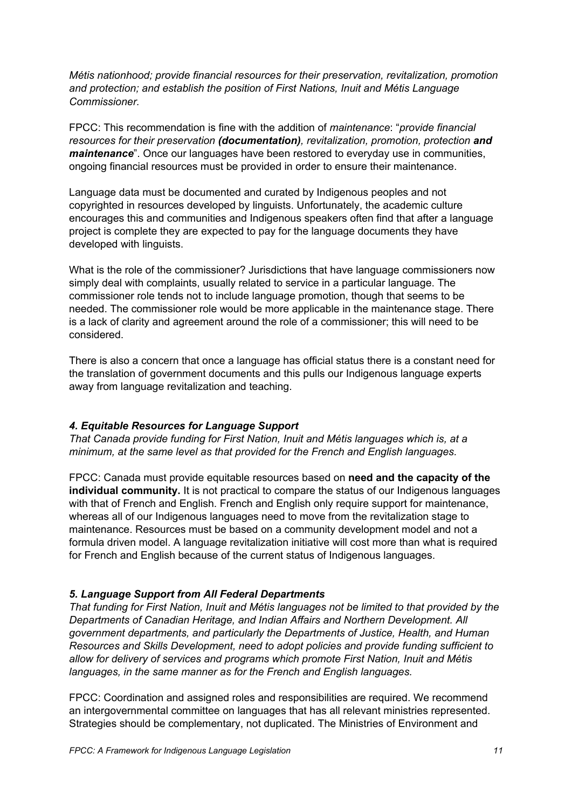*Métis nationhood; provide financial resources for their preservation, revitalization, promotion and protection; and establish the position of First Nations, Inuit and Métis Language Commissioner.*

FPCC: This recommendation is fine with the addition of *maintenance*: "*provide financial resources for their preservation (documentation), revitalization, promotion, protection and maintenance*". Once our languages have been restored to everyday use in communities, ongoing financial resources must be provided in order to ensure their maintenance.

Language data must be documented and curated by Indigenous peoples and not copyrighted in resources developed by linguists. Unfortunately, the academic culture encourages this and communities and Indigenous speakers often find that after a language project is complete they are expected to pay for the language documents they have developed with linguists.

What is the role of the commissioner? Jurisdictions that have language commissioners now simply deal with complaints, usually related to service in a particular language. The commissioner role tends not to include language promotion, though that seems to be needed. The commissioner role would be more applicable in the maintenance stage. There is a lack of clarity and agreement around the role of a commissioner; this will need to be considered.

There is also a concern that once a language has official status there is a constant need for the translation of government documents and this pulls our Indigenous language experts away from language revitalization and teaching.

#### *4. Equitable Resources for Language Support*

*That Canada provide funding for First Nation, Inuit and Métis languages which is, at a minimum, at the same level as that provided for the French and English languages.*

FPCC: Canada must provide equitable resources based on **need and the capacity of the individual community.** It is not practical to compare the status of our Indigenous languages with that of French and English. French and English only require support for maintenance, whereas all of our Indigenous languages need to move from the revitalization stage to maintenance. Resources must be based on a community development model and not a formula driven model. A language revitalization initiative will cost more than what is required for French and English because of the current status of Indigenous languages.

#### *5. Language Support from All Federal Departments*

*That funding for First Nation, Inuit and Métis languages not be limited to that provided by the Departments of Canadian Heritage, and Indian Affairs and Northern Development. All government departments, and particularly the Departments of Justice, Health, and Human Resources and Skills Development, need to adopt policies and provide funding sufficient to allow for delivery of services and programs which promote First Nation, Inuit and Métis languages, in the same manner as for the French and English languages.*

FPCC: Coordination and assigned roles and responsibilities are required. We recommend an intergovernmental committee on languages that has all relevant ministries represented. Strategies should be complementary, not duplicated. The Ministries of Environment and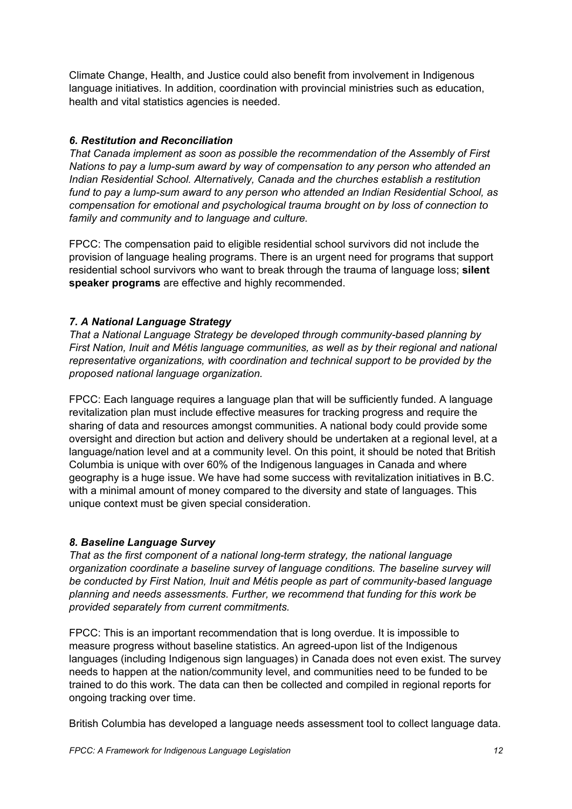Climate Change, Health, and Justice could also benefit from involvement in Indigenous language initiatives. In addition, coordination with provincial ministries such as education, health and vital statistics agencies is needed.

#### *6. Restitution and Reconciliation*

*That Canada implement as soon as possible the recommendation of the Assembly of First Nations to pay a lump-sum award by way of compensation to any person who attended an Indian Residential School. Alternatively, Canada and the churches establish a restitution fund to pay a lump-sum award to any person who attended an Indian Residential School, as compensation for emotional and psychological trauma brought on by loss of connection to family and community and to language and culture.*

FPCC: The compensation paid to eligible residential school survivors did not include the provision of language healing programs. There is an urgent need for programs that support residential school survivors who want to break through the trauma of language loss; **silent speaker programs** are effective and highly recommended.

#### *7. A National Language Strategy*

*That a National Language Strategy be developed through community-based planning by First Nation, Inuit and Métis language communities, as well as by their regional and national representative organizations, with coordination and technical support to be provided by the proposed national language organization.*

FPCC: Each language requires a language plan that will be sufficiently funded. A language revitalization plan must include effective measures for tracking progress and require the sharing of data and resources amongst communities. A national body could provide some oversight and direction but action and delivery should be undertaken at a regional level, at a language/nation level and at a community level. On this point, it should be noted that British Columbia is unique with over 60% of the Indigenous languages in Canada and where geography is a huge issue. We have had some success with revitalization initiatives in B.C. with a minimal amount of money compared to the diversity and state of languages. This unique context must be given special consideration.

#### *8. Baseline Language Survey*

*That as the first component of a national long-term strategy, the national language organization coordinate a baseline survey of language conditions. The baseline survey will be conducted by First Nation, Inuit and Métis people as part of community-based language planning and needs assessments. Further, we recommend that funding for this work be provided separately from current commitments.*

FPCC: This is an important recommendation that is long overdue. It is impossible to measure progress without baseline statistics. An agreed-upon list of the Indigenous languages (including Indigenous sign languages) in Canada does not even exist. The survey needs to happen at the nation/community level, and communities need to be funded to be trained to do this work. The data can then be collected and compiled in regional reports for ongoing tracking over time.

British Columbia has developed a language needs assessment tool to collect language data.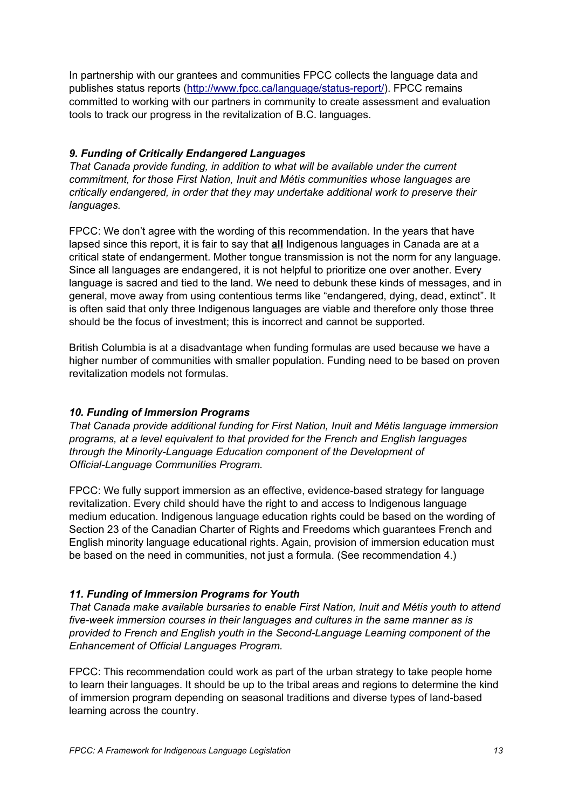In partnership with our grantees and communities FPCC collects the language data and publishes status reports [\(http://www.fpcc.ca/language/status-report/\)](http://www.fpcc.ca/language/status-report/). FPCC remains committed to working with our partners in community to create assessment and evaluation tools to track our progress in the revitalization of B.C. languages.

#### *9. Funding of Critically Endangered Languages*

*That Canada provide funding, in addition to what will be available under the current commitment, for those First Nation, Inuit and Métis communities whose languages are critically endangered, in order that they may undertake additional work to preserve their languages.*

FPCC: We don't agree with the wording of this recommendation. In the years that have lapsed since this report, it is fair to say that **all** Indigenous languages in Canada are at a critical state of endangerment. Mother tongue transmission is not the norm for any language. Since all languages are endangered, it is not helpful to prioritize one over another. Every language is sacred and tied to the land. We need to debunk these kinds of messages, and in general, move away from using contentious terms like "endangered, dying, dead, extinct". It is often said that only three Indigenous languages are viable and therefore only those three should be the focus of investment; this is incorrect and cannot be supported.

British Columbia is at a disadvantage when funding formulas are used because we have a higher number of communities with smaller population. Funding need to be based on proven revitalization models not formulas.

#### *10. Funding of Immersion Programs*

*That Canada provide additional funding for First Nation, Inuit and Métis language immersion programs, at a level equivalent to that provided for the French and English languages through the Minority-Language Education component of the Development of Official-Language Communities Program.*

FPCC: We fully support immersion as an effective, evidence-based strategy for language revitalization. Every child should have the right to and access to Indigenous language medium education. Indigenous language education rights could be based on the wording of Section 23 of the Canadian Charter of Rights and Freedoms which guarantees French and English minority language educational rights. Again, provision of immersion education must be based on the need in communities, not just a formula. (See recommendation 4.)

#### *11. Funding of Immersion Programs for Youth*

*That Canada make available bursaries to enable First Nation, Inuit and Métis youth to attend five-week immersion courses in their languages and cultures in the same manner as is provided to French and English youth in the Second-Language Learning component of the Enhancement of Official Languages Program.*

FPCC: This recommendation could work as part of the urban strategy to take people home to learn their languages. It should be up to the tribal areas and regions to determine the kind of immersion program depending on seasonal traditions and diverse types of land-based learning across the country.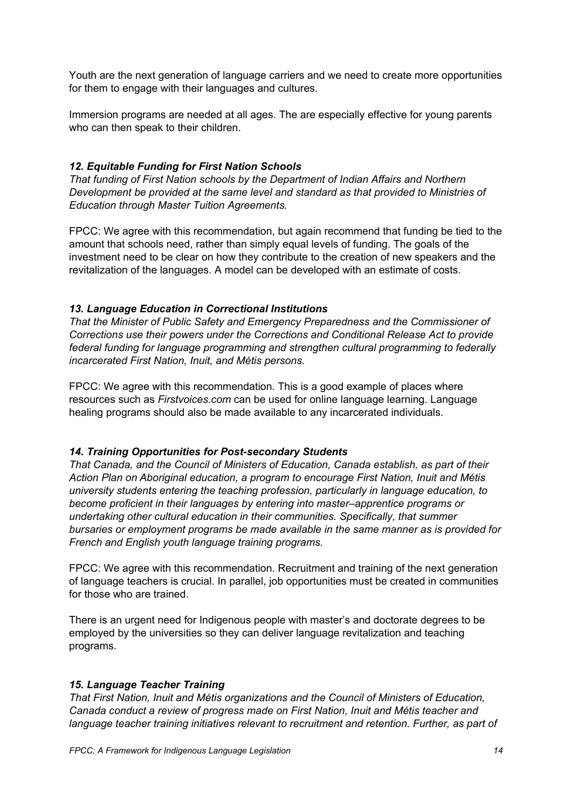Youth are the next generation of language carriers and we need to create more opportunities for them to engage with their languages and cultures.

Immersion programs are needed at all ages. The are especially effective for young parents who can then speak to their children.

#### *12. Equitable Funding for First Nation Schools*

*That funding of First Nation schools by the Department of Indian Affairs and Northern Development be provided at the same level and standard as that provided to Ministries of Education through Master Tuition Agreements.*

FPCC: We agree with this recommendation, but again recommend that funding be tied to the amount that schools need, rather than simply equal levels of funding. The goals of the investment need to be clear on how they contribute to the creation of new speakers and the revitalization of the languages. A model can be developed with an estimate of costs.

#### *13. Language Education in Correctional Institutions*

*That the Minister of Public Safety and Emergency Preparedness and the Commissioner of Corrections use their powers under the Corrections and Conditional Release Act to provide federal funding for language programming and strengthen cultural programming to federally incarcerated First Nation, Inuit, and Métis persons.*

FPCC: We agree with this recommendation. This is a good example of places where resources such as *Firstvoices.com* can be used for online language learning. Language healing programs should also be made available to any incarcerated individuals.

#### *14. Training Opportunities for Post-secondary Students*

*That Canada, and the Council of Ministers of Education, Canada establish, as part of their Action Plan on Aboriginal education, a program to encourage First Nation, Inuit and Métis university students entering the teaching profession, particularly in language education, to become proficient in their languages by entering into master–apprentice programs or undertaking other cultural education in their communities. Specifically, that summer bursaries or employment programs be made available in the same manner as is provided for French and English youth language training programs.*

FPCC: We agree with this recommendation. Recruitment and training of the next generation of language teachers is crucial. In parallel, job opportunities must be created in communities for those who are trained.

There is an urgent need for Indigenous people with master's and doctorate degrees to be employed by the universities so they can deliver language revitalization and teaching programs.

#### *15. Language Teacher Training*

*That First Nation, Inuit and Métis organizations and the Council of Ministers of Education, Canada conduct a review of progress made on First Nation, Inuit and Métis teacher and language teacher training initiatives relevant to recruitment and retention. Further, as part of*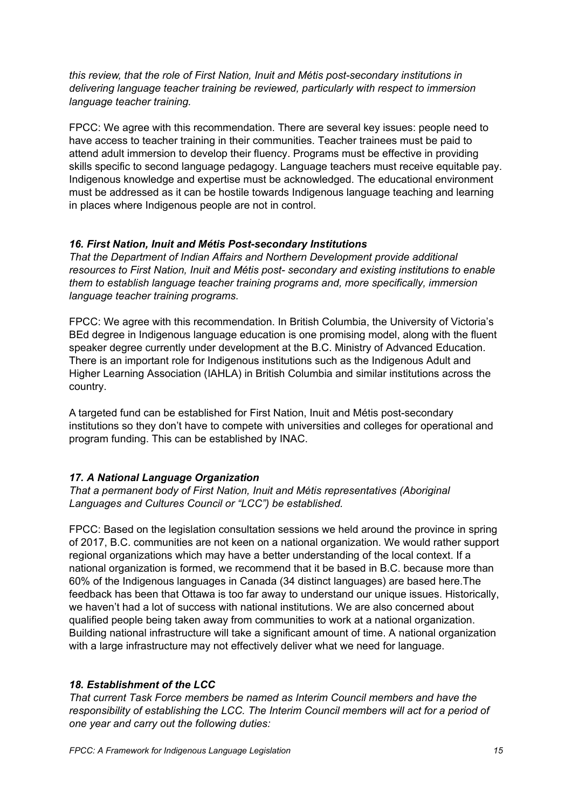*this review, that the role of First Nation, Inuit and Métis post-secondary institutions in delivering language teacher training be reviewed, particularly with respect to immersion language teacher training.*

FPCC: We agree with this recommendation. There are several key issues: people need to have access to teacher training in their communities. Teacher trainees must be paid to attend adult immersion to develop their fluency. Programs must be effective in providing skills specific to second language pedagogy. Language teachers must receive equitable pay. Indigenous knowledge and expertise must be acknowledged. The educational environment must be addressed as it can be hostile towards Indigenous language teaching and learning in places where Indigenous people are not in control.

#### *16. First Nation, Inuit and Métis Post-secondary Institutions*

*That the Department of Indian Affairs and Northern Development provide additional resources to First Nation, Inuit and Métis post- secondary and existing institutions to enable them to establish language teacher training programs and, more specifically, immersion language teacher training programs.*

FPCC: We agree with this recommendation. In British Columbia, the University of Victoria's BEd degree in Indigenous language education is one promising model, along with the fluent speaker degree currently under development at the B.C. Ministry of Advanced Education. There is an important role for Indigenous institutions such as the Indigenous Adult and Higher Learning Association (IAHLA) in British Columbia and similar institutions across the country.

A targeted fund can be established for First Nation, Inuit and Métis post-secondary institutions so they don't have to compete with universities and colleges for operational and program funding. This can be established by INAC.

#### *17. A National Language Organization*

*That a permanent body of First Nation, Inuit and Métis representatives (Aboriginal Languages and Cultures Council or "LCC") be established.*

FPCC: Based on the legislation consultation sessions we held around the province in spring of 2017, B.C. communities are not keen on a national organization. We would rather support regional organizations which may have a better understanding of the local context. If a national organization is formed, we recommend that it be based in B.C. because more than 60% of the Indigenous languages in Canada (34 distinct languages) are based here.The feedback has been that Ottawa is too far away to understand our unique issues. Historically, we haven't had a lot of success with national institutions. We are also concerned about qualified people being taken away from communities to work at a national organization. Building national infrastructure will take a significant amount of time. A national organization with a large infrastructure may not effectively deliver what we need for language.

#### *18. Establishment of the LCC*

*That current Task Force members be named as Interim Council members and have the responsibility of establishing the LCC. The Interim Council members will act for a period of one year and carry out the following duties:*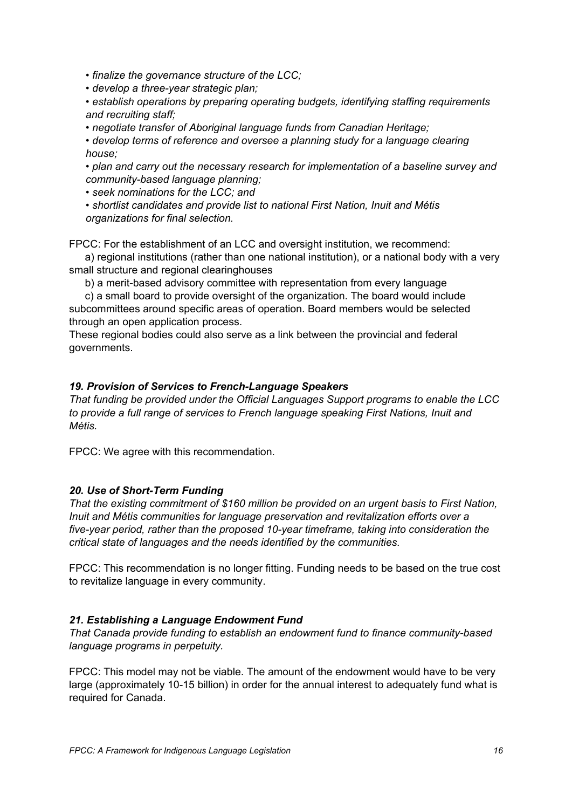*• finalize the governance structure of the LCC;*

*• develop a three-year strategic plan;*

*• establish operations by preparing operating budgets, identifying staffing requirements and recruiting staff;*

*• negotiate transfer of Aboriginal language funds from Canadian Heritage;*

*• develop terms of reference and oversee a planning study for a language clearing house;*

*• plan and carry out the necessary research for implementation of a baseline survey and community-based language planning;*

*• seek nominations for the LCC; and*

*• shortlist candidates and provide list to national First Nation, Inuit and Métis organizations for final selection.*

FPCC: For the establishment of an LCC and oversight institution, we recommend:

a) regional institutions (rather than one national institution), or a national body with a very small structure and regional clearinghouses

b) a merit-based advisory committee with representation from every language

c) a small board to provide oversight of the organization. The board would include subcommittees around specific areas of operation. Board members would be selected through an open application process.

These regional bodies could also serve as a link between the provincial and federal governments.

#### *19. Provision of Services to French-Language Speakers*

*That funding be provided under the Official Languages Support programs to enable the LCC to provide a full range of services to French language speaking First Nations, Inuit and Métis.*

FPCC: We agree with this recommendation.

#### *20. Use of Short-Term Funding*

*That the existing commitment of \$160 million be provided on an urgent basis to First Nation, Inuit and Métis communities for language preservation and revitalization efforts over a five-year period, rather than the proposed 10-year timeframe, taking into consideration the critical state of languages and the needs identified by the communities.*

FPCC: This recommendation is no longer fitting. Funding needs to be based on the true cost to revitalize language in every community.

#### *21. Establishing a Language Endowment Fund*

*That Canada provide funding to establish an endowment fund to finance community-based language programs in perpetuity.*

FPCC: This model may not be viable. The amount of the endowment would have to be very large (approximately 10-15 billion) in order for the annual interest to adequately fund what is required for Canada.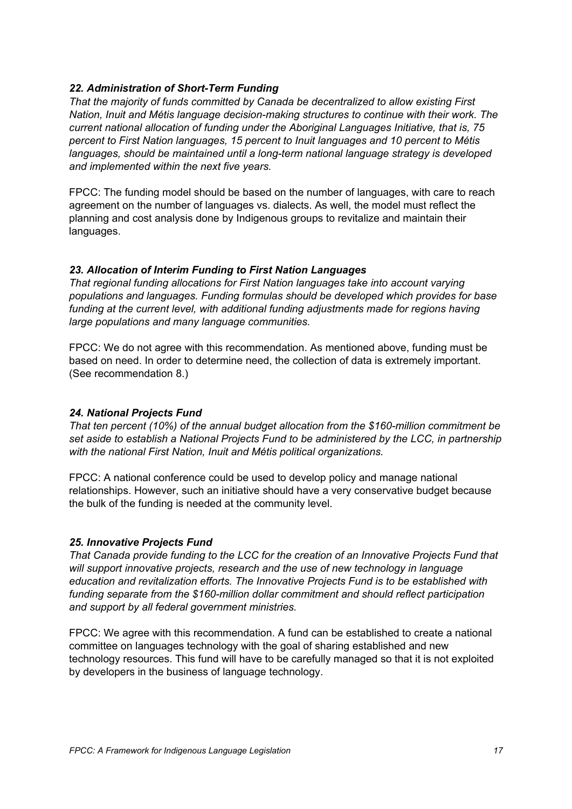#### *22. Administration of Short-Term Funding*

*That the majority of funds committed by Canada be decentralized to allow existing First Nation, Inuit and Métis language decision-making structures to continue with their work. The current national allocation of funding under the Aboriginal Languages Initiative, that is, 75 percent to First Nation languages, 15 percent to Inuit languages and 10 percent to Métis languages, should be maintained until a long-term national language strategy is developed and implemented within the next five years.*

FPCC: The funding model should be based on the number of languages, with care to reach agreement on the number of languages vs. dialects. As well, the model must reflect the planning and cost analysis done by Indigenous groups to revitalize and maintain their languages.

#### *23. Allocation of Interim Funding to First Nation Languages*

*That regional funding allocations for First Nation languages take into account varying populations and languages. Funding formulas should be developed which provides for base funding at the current level, with additional funding adjustments made for regions having large populations and many language communities.*

FPCC: We do not agree with this recommendation. As mentioned above, funding must be based on need. In order to determine need, the collection of data is extremely important. (See recommendation 8.)

#### *24. National Projects Fund*

*That ten percent (10%) of the annual budget allocation from the \$160-million commitment be set aside to establish a National Projects Fund to be administered by the LCC, in partnership with the national First Nation, Inuit and Métis political organizations.*

FPCC: A national conference could be used to develop policy and manage national relationships. However, such an initiative should have a very conservative budget because the bulk of the funding is needed at the community level.

#### *25. Innovative Projects Fund*

*That Canada provide funding to the LCC for the creation of an Innovative Projects Fund that will support innovative projects, research and the use of new technology in language education and revitalization efforts. The Innovative Projects Fund is to be established with funding separate from the \$160-million dollar commitment and should reflect participation and support by all federal government ministries.*

FPCC: We agree with this recommendation. A fund can be established to create a national committee on languages technology with the goal of sharing established and new technology resources. This fund will have to be carefully managed so that it is not exploited by developers in the business of language technology.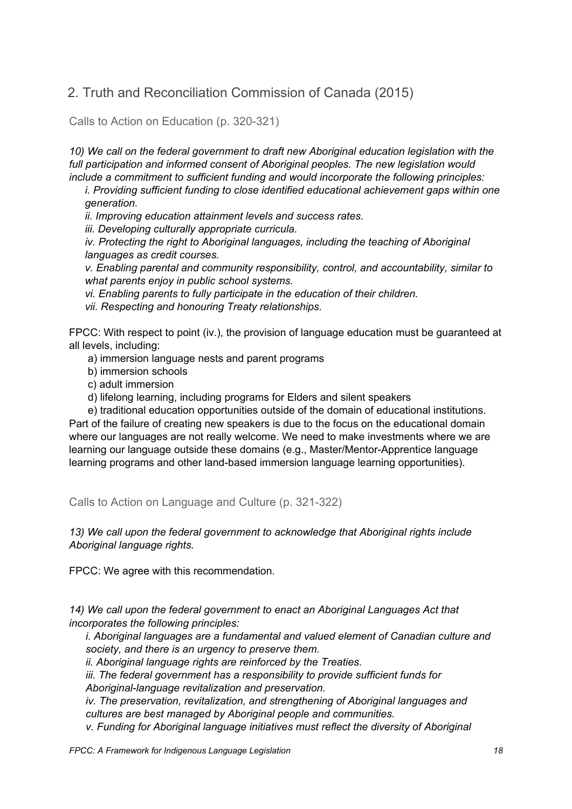## <span id="page-17-0"></span>2. Truth and Reconciliation Commission of Canada (2015)

<span id="page-17-2"></span>Calls to Action on Education (p. 320-321)

*10) We call on the federal government to draft new Aboriginal education legislation with the full participation and informed consent of Aboriginal peoples. The new legislation would include a commitment to sufficient funding and would incorporate the following principles:*

*i. Providing sufficient funding to close identified educational achievement gaps within one generation.*

*ii. Improving education attainment levels and success rates.*

*iii. Developing culturally appropriate curricula.*

*iv. Protecting the right to Aboriginal languages, including the teaching of Aboriginal languages as credit courses.*

*v. Enabling parental and community responsibility, control, and accountability, similar to what parents enjoy in public school systems.*

*vi. Enabling parents to fully participate in the education of their children.*

*vii. Respecting and honouring Treaty relationships.*

FPCC: With respect to point (iv.), the provision of language education must be guaranteed at all levels, including:

- a) immersion language nests and parent programs
- b) immersion schools
- c) adult immersion
- d) lifelong learning, including programs for Elders and silent speakers

e) traditional education opportunities outside of the domain of educational institutions. Part of the failure of creating new speakers is due to the focus on the educational domain where our languages are not really welcome. We need to make investments where we are learning our language outside these domains (e.g., Master/Mentor-Apprentice language learning programs and other land-based immersion language learning opportunities).

<span id="page-17-1"></span>Calls to Action on Language and Culture (p. 321-322)

*13) We call upon the federal government to acknowledge that Aboriginal rights include Aboriginal language rights.*

FPCC: We agree with this recommendation.

*14) We call upon the federal government to enact an Aboriginal Languages Act that incorporates the following principles:*

*i. Aboriginal languages are a fundamental and valued element of Canadian culture and society, and there is an urgency to preserve them.*

*ii. Aboriginal language rights are reinforced by the Treaties.*

*iii. The federal government has a responsibility to provide sufficient funds for Aboriginal-language revitalization and preservation.*

*iv. The preservation, revitalization, and strengthening of Aboriginal languages and cultures are best managed by Aboriginal people and communities.*

*v. Funding for Aboriginal language initiatives must reflect the diversity of Aboriginal*

*FPCC: A Framework for Indigenous Language Legislation 18*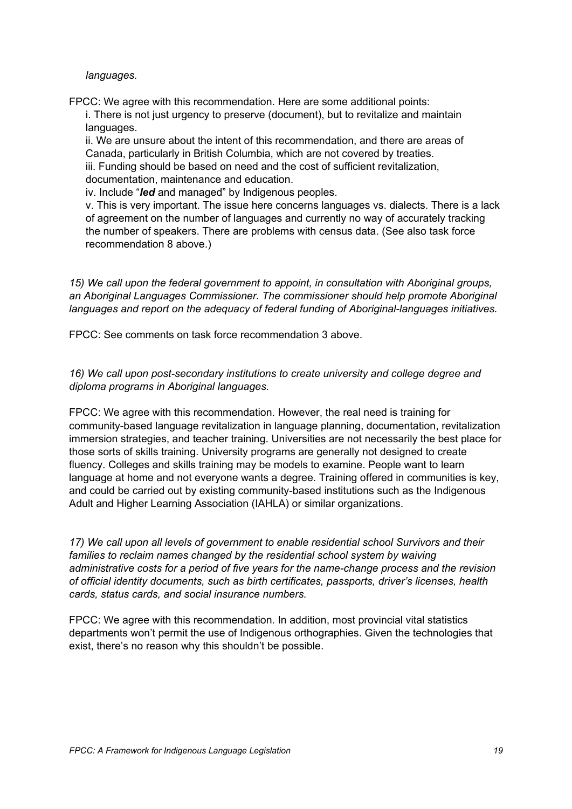*languages.*

FPCC: We agree with this recommendation. Here are some additional points: i. There is not just urgency to preserve (document), but to revitalize and maintain languages.

ii. We are unsure about the intent of this recommendation, and there are areas of Canada, particularly in British Columbia, which are not covered by treaties. iii. Funding should be based on need and the cost of sufficient revitalization, documentation, maintenance and education.

iv. Include "*led* and managed" by Indigenous peoples.

v. This is very important. The issue here concerns languages vs. dialects. There is a lack of agreement on the number of languages and currently no way of accurately tracking the number of speakers. There are problems with census data. (See also task force recommendation 8 above.)

*15) We call upon the federal government to appoint, in consultation with Aboriginal groups, an Aboriginal Languages Commissioner. The commissioner should help promote Aboriginal languages and report on the adequacy of federal funding of Aboriginal-languages initiatives.*

FPCC: See comments on task force recommendation 3 above.

*16) We call upon post-secondary institutions to create university and college degree and diploma programs in Aboriginal languages.*

FPCC: We agree with this recommendation. However, the real need is training for community-based language revitalization in language planning, documentation, revitalization immersion strategies, and teacher training. Universities are not necessarily the best place for those sorts of skills training. University programs are generally not designed to create fluency. Colleges and skills training may be models to examine. People want to learn language at home and not everyone wants a degree. Training offered in communities is key, and could be carried out by existing community-based institutions such as the Indigenous Adult and Higher Learning Association (IAHLA) or similar organizations.

*17) We call upon all levels of government to enable residential school Survivors and their families to reclaim names changed by the residential school system by waiving administrative costs for a period of five years for the name-change process and the revision of official identity documents, such as birth certificates, passports, driver's licenses, health cards, status cards, and social insurance numbers.*

FPCC: We agree with this recommendation. In addition, most provincial vital statistics departments won't permit the use of Indigenous orthographies. Given the technologies that exist, there's no reason why this shouldn't be possible.